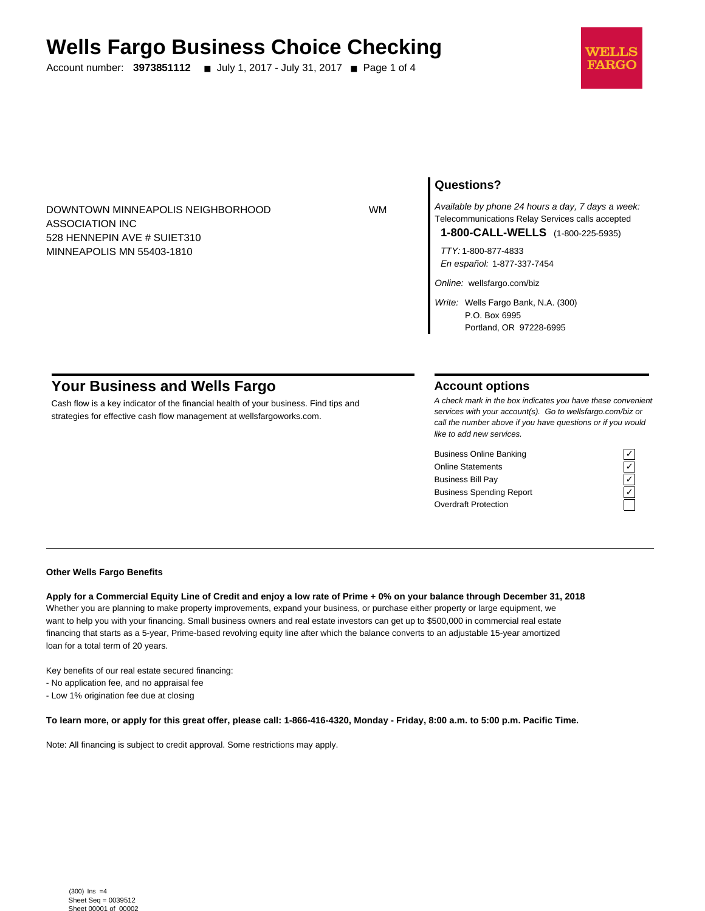# **Wells Fargo Business Choice Checking**

Account number: **3973851112** ■ July 1, 2017 - July 31, 2017 ■ Page 1 of 4



DOWNTOWN MINNEAPOLIS NEIGHBORHOOD WM ASSOCIATION INC 528 HENNEPIN AVE # SUIET310 MINNEAPOLIS MN 55403-1810

## **Questions?**

Available by phone 24 hours a day, 7 days a week: Telecommunications Relay Services calls accepted **1-800-CALL-WELLS** (1-800-225-5935)

TTY: 1-800-877-4833 En español: 1-877-337-7454

Online: wellsfargo.com/biz

Write: Wells Fargo Bank, N.A. (300) P.O. Box 6995 Portland, OR 97228-6995

# **Your Business and Wells Fargo**

Cash flow is a key indicator of the financial health of your business. Find tips and strategies for effective cash flow management at wellsfargoworks.com.

## **Account options**

A check mark in the box indicates you have these convenient services with your account(s). Go to wellsfargo.com/biz or call the number above if you have questions or if you would like to add new services.

Business Online Banking<br>
Online Statements<br>
Business Bill Pay<br>
Business Spending Report<br>
Cygridder Protection<br>
Cygridder Protection Online Statements ✓ Business Bill Pay Business Spending Report Overdraft Protection



#### **Other Wells Fargo Benefits**

**Apply for a Commercial Equity Line of Credit and enjoy a low rate of Prime + 0% on your balance through December 31, 2018** Whether you are planning to make property improvements, expand your business, or purchase either property or large equipment, we want to help you with your financing. Small business owners and real estate investors can get up to \$500,000 in commercial real estate financing that starts as a 5-year, Prime-based revolving equity line after which the balance converts to an adjustable 15-year amortized loan for a total term of 20 years.

Key benefits of our real estate secured financing:

- No application fee, and no appraisal fee

- Low 1% origination fee due at closing

**To learn more, or apply for this great offer, please call: 1-866-416-4320, Monday - Friday, 8:00 a.m. to 5:00 p.m. Pacific Time.**

Note: All financing is subject to credit approval. Some restrictions may apply.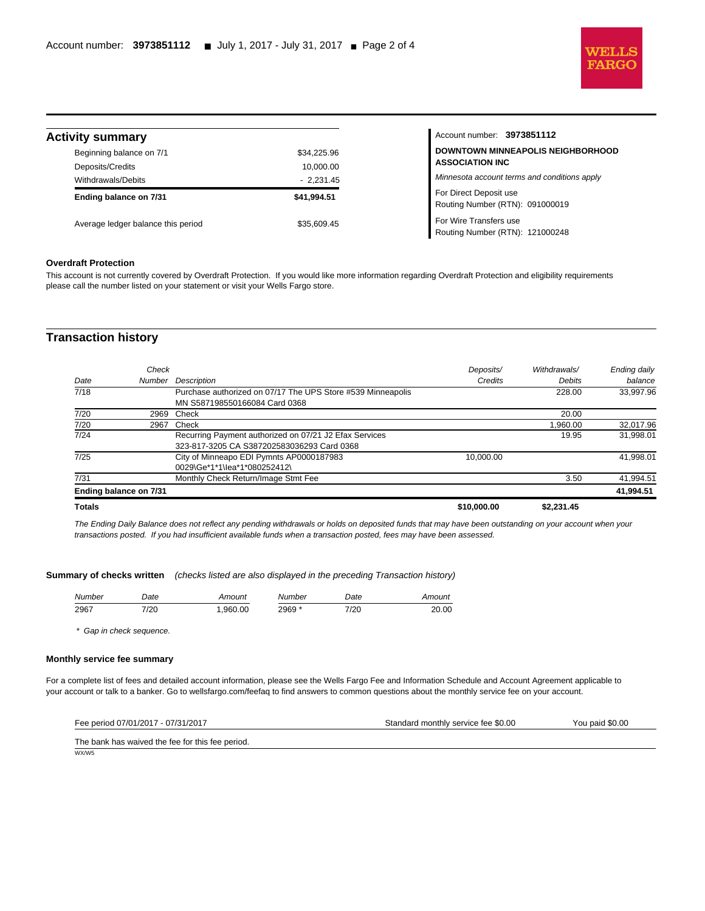

| <b>Activity summary</b>                      |                                                                                                | Account number: 3973851112                                |
|----------------------------------------------|------------------------------------------------------------------------------------------------|-----------------------------------------------------------|
| Beginning balance on 7/1<br>Deposits/Credits | <b>DOWNTOWN MINNEAPOLIS NEIGHBORHOOD</b><br>\$34.225.96<br><b>ASSOCIATION INC</b><br>10,000.00 |                                                           |
| Withdrawals/Debits                           | $-2.231.45$                                                                                    | Minnesota account terms and conditions apply              |
| Ending balance on 7/31                       | \$41.994.51                                                                                    | For Direct Deposit use<br>Routing Number (RTN): 091000019 |
| Average ledger balance this period           | \$35.609.45                                                                                    | For Wire Transfers use<br>Routing Number (RTN): 121000248 |

#### **Overdraft Protection**

l

This account is not currently covered by Overdraft Protection. If you would like more information regarding Overdraft Protection and eligibility requirements please call the number listed on your statement or visit your Wells Fargo store.

## **Transaction history**

| Ending balance on 7/31 | City of Minneapo EDI Pymnts AP0000187983<br>0029\Ge*1*1\lea*1*080252412\<br>Monthly Check Return/Image Stmt Fee | 10.000.00 | 3.50                                       | 41,994.51<br>41,994.51 |
|------------------------|-----------------------------------------------------------------------------------------------------------------|-----------|--------------------------------------------|------------------------|
|                        |                                                                                                                 |           |                                            |                        |
|                        |                                                                                                                 |           |                                            | 41,998.01              |
|                        |                                                                                                                 |           |                                            |                        |
|                        |                                                                                                                 |           |                                            |                        |
|                        |                                                                                                                 |           |                                            |                        |
|                        | Recurring Payment authorized on 07/21 J2 Efax Services                                                          |           | 19.95                                      | 31.998.01              |
| 2967                   | Check                                                                                                           |           | 1.960.00                                   | 32,017.96              |
| 2969                   |                                                                                                                 |           | 20.00                                      |                        |
|                        | MN S587198550166084 Card 0368                                                                                   |           |                                            |                        |
|                        | Purchase authorized on 07/17 The UPS Store #539 Minneapolis                                                     |           | 228.00                                     | 33,997.96              |
| Number                 | <b>Description</b>                                                                                              | Credits   | Debits                                     | balance                |
| Check                  |                                                                                                                 | Deposits/ | Withdrawals/                               | Ending daily           |
|                        |                                                                                                                 | Check     | 323-817-3205 CA S387202583036293 Card 0368 |                        |

The Ending Daily Balance does not reflect any pending withdrawals or holds on deposited funds that may have been outstanding on your account when your transactions posted. If you had insufficient available funds when a transaction posted, fees may have been assessed.

#### **Summary of checks written** (checks listed are also displayed in the preceding Transaction history)

| Number | )ate | Amount  | Number | Date | Amount |
|--------|------|---------|--------|------|--------|
| 2967   | 7/20 | .960.00 | 2969 * | 7/20 | 20.00  |

\* Gap in check sequence.

#### **Monthly service fee summary**

WX/W5

For a complete list of fees and detailed account information, please see the Wells Fargo Fee and Information Schedule and Account Agreement applicable to your account or talk to a banker. Go to wellsfargo.com/feefaq to find answers to common questions about the monthly service fee on your account.

| Fee period 07/01/2017 - 07/31/2017               | Standard monthly service fee \$0.00 | You paid \$0.00 |
|--------------------------------------------------|-------------------------------------|-----------------|
| The bank has waived the fee for this fee period. |                                     |                 |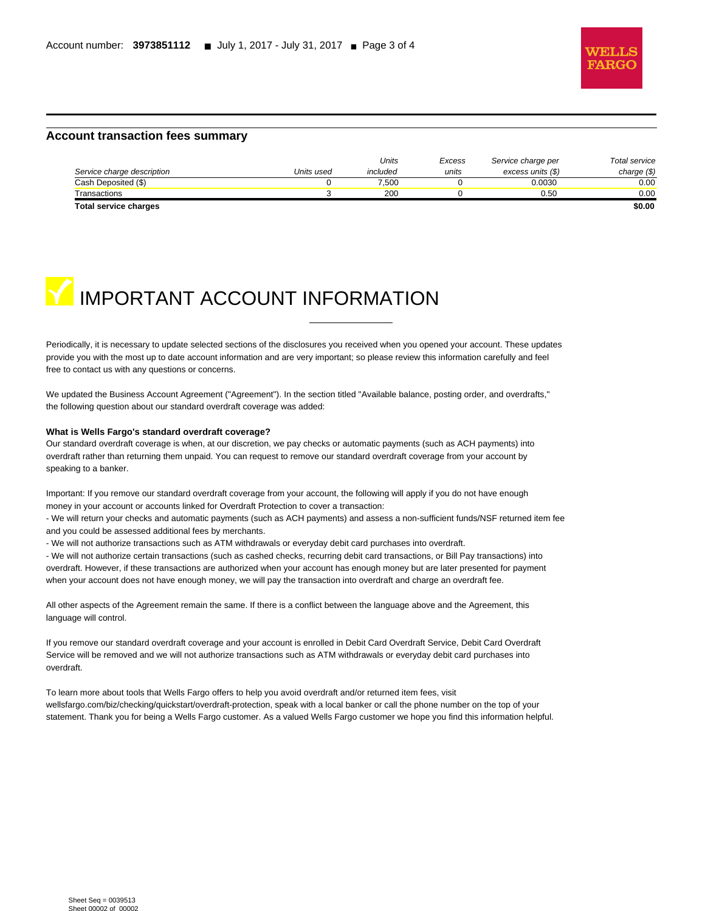

#### **Account transaction fees summary**

|                            |            | Units    | Excess | Service charge per | Total service |
|----------------------------|------------|----------|--------|--------------------|---------------|
| Service charge description | Units used | included | units  | excess units (\$)  | charge $(\$)$ |
| Cash Deposited (\$)        |            | 7.500    |        | 0.0030             | 0.00          |
| Transactions               |            | 200      |        | 0.50               | 0.00          |
| Total service charges      |            |          |        |                    | \$0.00        |

l



Periodically, it is necessary to update selected sections of the disclosures you received when you opened your account. These updates provide you with the most up to date account information and are very important; so please review this information carefully and feel free to contact us with any questions or concerns.

We updated the Business Account Agreement ("Agreement"). In the section titled "Available balance, posting order, and overdrafts," the following question about our standard overdraft coverage was added:

#### **What is Wells Fargo's standard overdraft coverage?**

Our standard overdraft coverage is when, at our discretion, we pay checks or automatic payments (such as ACH payments) into overdraft rather than returning them unpaid. You can request to remove our standard overdraft coverage from your account by speaking to a banker.

Important: If you remove our standard overdraft coverage from your account, the following will apply if you do not have enough money in your account or accounts linked for Overdraft Protection to cover a transaction:

- We will return your checks and automatic payments (such as ACH payments) and assess a non-sufficient funds/NSF returned item fee and you could be assessed additional fees by merchants.

- We will not authorize transactions such as ATM withdrawals or everyday debit card purchases into overdraft.

- We will not authorize certain transactions (such as cashed checks, recurring debit card transactions, or Bill Pay transactions) into overdraft. However, if these transactions are authorized when your account has enough money but are later presented for payment when your account does not have enough money, we will pay the transaction into overdraft and charge an overdraft fee.

All other aspects of the Agreement remain the same. If there is a conflict between the language above and the Agreement, this language will control.

If you remove our standard overdraft coverage and your account is enrolled in Debit Card Overdraft Service, Debit Card Overdraft Service will be removed and we will not authorize transactions such as ATM withdrawals or everyday debit card purchases into overdraft.

To learn more about tools that Wells Fargo offers to help you avoid overdraft and/or returned item fees, visit wellsfargo.com/biz/checking/quickstart/overdraft-protection, speak with a local banker or call the phone number on the top of your statement. Thank you for being a Wells Fargo customer. As a valued Wells Fargo customer we hope you find this information helpful.